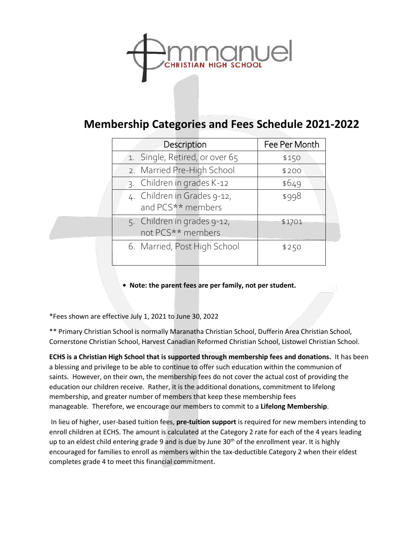

## **Membership Categories and Fees Schedule 2021-2022**

| Description                    | Fee Per Month |
|--------------------------------|---------------|
| 1. Single, Retired, or over 65 | \$150         |
| 2. Married Pre-High School     | \$200         |
| 3. Children in grades K-12     | \$649         |
| 4. Children in Grades 9-12,    | \$998         |
| and PCS** members              |               |
| 5. Children in grades 9-12,    | \$1701        |
| not PCS** members              |               |
| 6. Married, Post High School   | \$250         |
|                                |               |

**• Note: the parent fees are per family, not per student.**

\*Fees shown are effective July 1, 2021 to June 30, 2022

\*\* Primary Christian School is normally Maranatha Christian School, Dufferin Area Christian School, Cornerstone Christian School, Harvest Canadian Reformed Christian School, Listowel Christian School.

**ECHS is a Christian High School that is supported through membership fees and donations.** It has been a blessing and privilege to be able to continue to offer such education within the communion of saints. However, on their own, the membership fees do not cover the actual cost of providing the education our children receive. Rather, it is the additional donations, commitment to lifelong membership, and greater number of members that keep these membership fees manageable. Therefore, we encourage our members to commit to a **Lifelong Membership**.

In lieu of higher, user-based tuition fees, **pre-tuition support** is required for new members intending to enroll children at ECHS. The amount is calculated at the Category 2 rate for each of the 4 years leading up to an eldest child entering grade 9 and is due by June 30<sup>th</sup> of the enrollment year. It is highly encouraged for families to enroll as members within the tax-deductible Category 2 when their eldest completes grade 4 to meet this financial commitment.